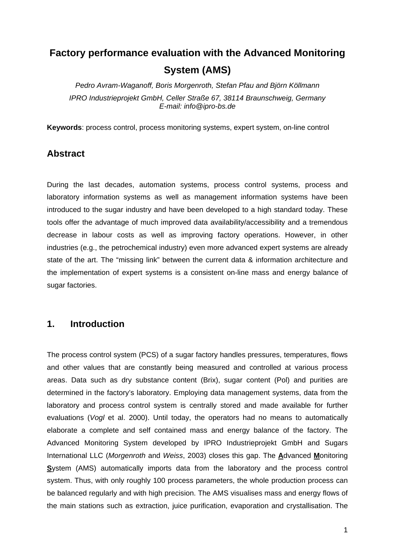# **Factory performance evaluation with the Advanced Monitoring System (AMS)**

*Pedro Avram-Waganoff, Boris Morgenroth, Stefan Pfau and Björn Köllmann IPRO Industrieprojekt GmbH, Celler Straße 67, 38114 Braunschweig, Germany E-mail: info@ipro-bs.de* 

**Keywords**: process control, process monitoring systems, expert system, on-line control

### **Abstract**

During the last decades, automation systems, process control systems, process and laboratory information systems as well as management information systems have been introduced to the sugar industry and have been developed to a high standard today. These tools offer the advantage of much improved data availability/accessibility and a tremendous decrease in labour costs as well as improving factory operations. However, in other industries (e.g., the petrochemical industry) even more advanced expert systems are already state of the art. The "missing link" between the current data & information architecture and the implementation of expert systems is a consistent on-line mass and energy balance of sugar factories.

### **1. Introduction**

The process control system (PCS) of a sugar factory handles pressures, temperatures, flows and other values that are constantly being measured and controlled at various process areas. Data such as dry substance content (Brix), sugar content (Pol) and purities are determined in the factory's laboratory. Employing data management systems, data from the laboratory and process control system is centrally stored and made available for further evaluations (*Vogl* et al. 2000). Until today, the operators had no means to automatically elaborate a complete and self contained mass and energy balance of the factory. The Advanced Monitoring System developed by IPRO Industrieprojekt GmbH and Sugars International LLC (*Morgenroth* and *Weiss*, 2003) closes this gap. The **A**dvanced **M**onitoring **S**ystem (AMS) automatically imports data from the laboratory and the process control system. Thus, with only roughly 100 process parameters, the whole production process can be balanced regularly and with high precision. The AMS visualises mass and energy flows of the main stations such as extraction, juice purification, evaporation and crystallisation. The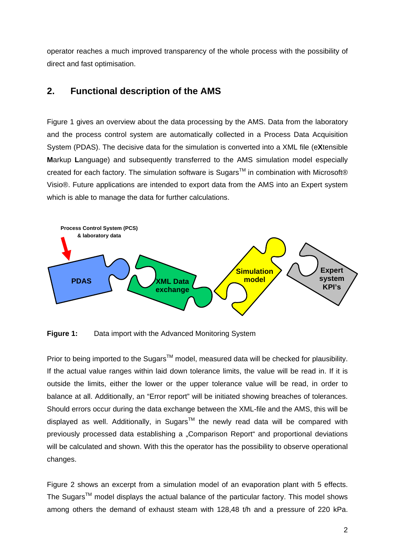operator reaches a much improved transparency of the whole process with the possibility of direct and fast optimisation.

### **2. Functional description of the AMS**

Figure 1 gives an overview about the data processing by the AMS. Data from the laboratory and the process control system are automatically collected in a Process Data Acquisition System (PDAS). The decisive data for the simulation is converted into a XML file (e**X**tensible **M**arkup **L**anguage) and subsequently transferred to the AMS simulation model especially created for each factory. The simulation software is Sugars<sup>TM</sup> in combination with Microsoft® Visio®. Future applications are intended to export data from the AMS into an Expert system which is able to manage the data for further calculations.



**Figure 1:** Data import with the Advanced Monitoring System

Prior to being imported to the Sugars™ model, measured data will be checked for plausibility. If the actual value ranges within laid down tolerance limits, the value will be read in. If it is outside the limits, either the lower or the upper tolerance value will be read, in order to balance at all. Additionally, an "Error report" will be initiated showing breaches of tolerances. Should errors occur during the data exchange between the XML-file and the AMS, this will be displayed as well. Additionally, in Sugars<sup>TM</sup> the newly read data will be compared with previously processed data establishing a "Comparison Report" and proportional deviations will be calculated and shown. With this the operator has the possibility to observe operational changes.

Figure 2 shows an excerpt from a simulation model of an evaporation plant with 5 effects. The Sugars<sup>TM</sup> model displays the actual balance of the particular factory. This model shows among others the demand of exhaust steam with 128,48 t/h and a pressure of 220 kPa.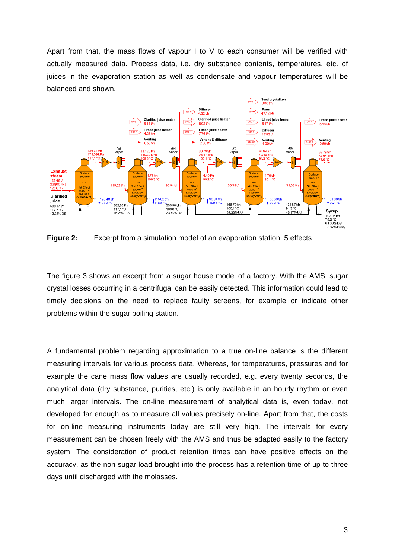Apart from that, the mass flows of vapour I to V to each consumer will be verified with actually measured data. Process data, i.e. dry substance contents, temperatures, etc. of juices in the evaporation station as well as condensate and vapour temperatures will be balanced and shown.



**Figure 2:** Excerpt from a simulation model of an evaporation station, 5 effects

The figure 3 shows an excerpt from a sugar house model of a factory. With the AMS, sugar crystal losses occurring in a centrifugal can be easily detected. This information could lead to timely decisions on the need to replace faulty screens, for example or indicate other problems within the sugar boiling station.

A fundamental problem regarding approximation to a true on-line balance is the different measuring intervals for various process data. Whereas, for temperatures, pressures and for example the cane mass flow values are usually recorded, e.g. every twenty seconds, the analytical data (dry substance, purities, etc.) is only available in an hourly rhythm or even much larger intervals. The on-line measurement of analytical data is, even today, not developed far enough as to measure all values precisely on-line. Apart from that, the costs for on-line measuring instruments today are still very high. The intervals for every measurement can be chosen freely with the AMS and thus be adapted easily to the factory system. The consideration of product retention times can have positive effects on the accuracy, as the non-sugar load brought into the process has a retention time of up to three days until discharged with the molasses.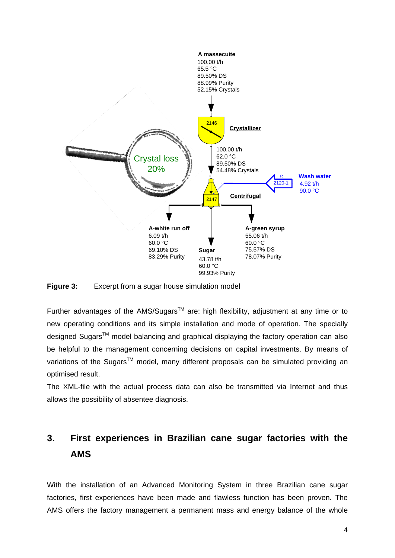

**Figure 3:** Excerpt from a sugar house simulation model

Further advantages of the AMS/Sugars<sup>TM</sup> are: high flexibility, adjustment at any time or to new operating conditions and its simple installation and mode of operation. The specially designed Sugars<sup>™</sup> model balancing and graphical displaying the factory operation can also be helpful to the management concerning decisions on capital investments. By means of variations of the Sugars<sup>™</sup> model, many different proposals can be simulated providing an optimised result.

The XML-file with the actual process data can also be transmitted via Internet and thus allows the possibility of absentee diagnosis.

# **3. First experiences in Brazilian cane sugar factories with the AMS**

With the installation of an Advanced Monitoring System in three Brazilian cane sugar factories, first experiences have been made and flawless function has been proven. The AMS offers the factory management a permanent mass and energy balance of the whole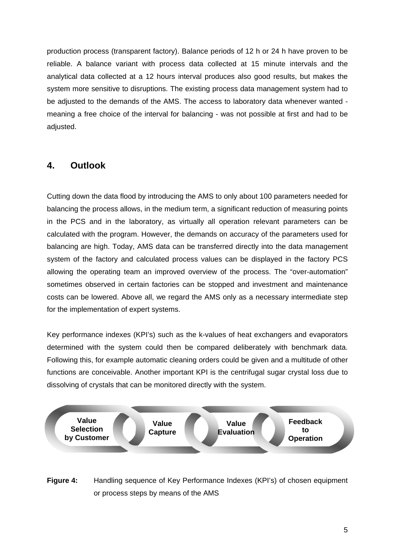production process (transparent factory). Balance periods of 12 h or 24 h have proven to be reliable. A balance variant with process data collected at 15 minute intervals and the analytical data collected at a 12 hours interval produces also good results, but makes the system more sensitive to disruptions. The existing process data management system had to be adjusted to the demands of the AMS. The access to laboratory data whenever wanted meaning a free choice of the interval for balancing - was not possible at first and had to be adjusted.

# **4. Outlook**

Cutting down the data flood by introducing the AMS to only about 100 parameters needed for balancing the process allows, in the medium term, a significant reduction of measuring points in the PCS and in the laboratory, as virtually all operation relevant parameters can be calculated with the program. However, the demands on accuracy of the parameters used for balancing are high. Today, AMS data can be transferred directly into the data management system of the factory and calculated process values can be displayed in the factory PCS allowing the operating team an improved overview of the process. The "over-automation" sometimes observed in certain factories can be stopped and investment and maintenance costs can be lowered. Above all, we regard the AMS only as a necessary intermediate step for the implementation of expert systems.

Key performance indexes (KPI's) such as the k-values of heat exchangers and evaporators determined with the system could then be compared deliberately with benchmark data. Following this, for example automatic cleaning orders could be given and a multitude of other functions are conceivable. Another important KPI is the centrifugal sugar crystal loss due to dissolving of crystals that can be monitored directly with the system.



**Figure 4:** Handling sequence of Key Performance Indexes (KPI's) of chosen equipment or process steps by means of the AMS